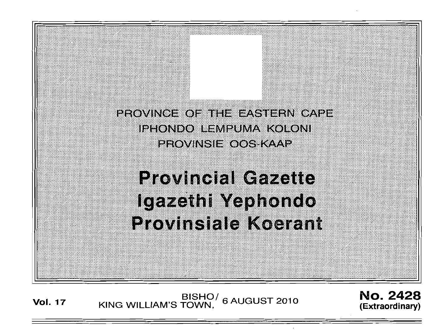PROVINCE OF THE EASTERN CAPE iehondo ilempuma koloni PROVINSIE OOS KAAP

'. :::;:;: :::::;:. : .: ;::::;:;::::::::: '.:::::: '.:::;: : .. ::::; .

# **Provincial Gazette** Igazethi Yephondo **Provinsiale Koerant**

**Vol. 17** 

BISHO<sup>/</sup> 6 AUGUST 2010<br>(Extraordinary) KING WILLIAM'S TOWN,

**(Extraordinary)**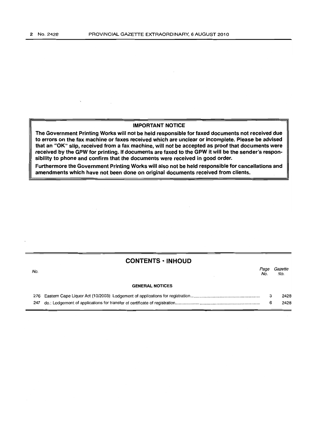## **IMPORTANT NOTICE**

**The Government Printing Works will not be held responsible for faxed documents not received due to errors on the fax machine or faxes received which are unclear or incomplete. Please be advised that an** "OK" **Slip, received from a fax machine, will not be accepted as proof that documents were received by the GPW for printing. If documents are faxed to the GPW it will be the sender's responsibility to phone and confirm that the documents were received in good order.** 

**Furthermore the Government Printing Works will also not be held responsible for cancellations and amendments which have not been done on original documents received from clients.** 

## **CONTENTS • INHOUD**

| No. |                        | Page<br>No. | Gazette<br>No. |
|-----|------------------------|-------------|----------------|
|     | <b>GENERAL NOTICES</b> |             |                |
|     |                        |             | 2428           |
| 247 |                        | 6           | 2428           |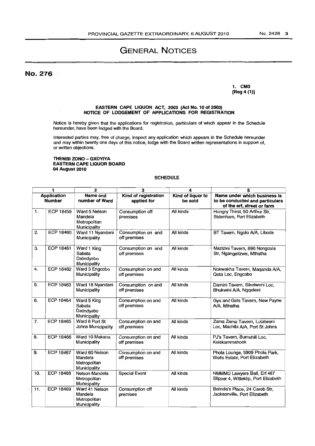## GENERAL NOTICES

No. 276

1. CM3 [Reg 4 (1)]

#### EASTERN CAPE UQUOR ACT, 2003 (Act No. 10 of 2003) NOTICE OF LODGEMENT OF APPUCATIONS FOR REGISTRATION

Notice is hereby given that the applications for registration, particulars of which appear in the Schedule hereunder, have been lodged with the Board.

Interested parties may, free of charge, inspect any application which appears in the Schedule hereunder and may within twenty one days of this notice, lodge with the Board written representations in support of, or written objections.

### THEMBI ZONO - GXOYIYA EASTERN CAPE UQUOR BOARD 04 August 2010

## SCHEDULE

| 1                                   |                  | 2                                                         | з                                   | 4                            | 5                                                                                             |
|-------------------------------------|------------------|-----------------------------------------------------------|-------------------------------------|------------------------------|-----------------------------------------------------------------------------------------------|
| <b>Application</b><br><b>Number</b> |                  | Name and<br>number of Ward                                | Kind of registration<br>applied for | Kind of liquor to<br>be sold | Name under which business is<br>to be conducted and particulars<br>of the erf, street or farm |
| $\mathbf{1}$ .                      | ECP 18459        | Ward 5 Nelson<br>Mandela<br>Metropolitan<br>Municipality  | Consumption off<br>premises         | All kinds                    | Hungry Thirst, 50 Arthur Str,<br>Stdenham, Port Elizabeth                                     |
| 2.                                  | ECP 18460        | Ward 11 Nyandeni<br>Municipality                          | Consumption on and<br>off premises  | All kinds                    | BT Tavern, Ngolo A/A, Libode                                                                  |
| 3.                                  | ECP 18461        | Ward 1 King<br>Sabata<br>Dalindyebo<br>Municipality       | Consumption on and<br>off premises  | All kinds                    | Mazizini Tavern, 896 Nongcula<br>Str, Ngangelizwe, Mthatha                                    |
| 4.                                  | <b>ECP 18462</b> | Ward 3 Engcobo<br>Municipality                            | Consumption on and<br>off premises  | All kinds                    | Nokwakha Tavern, Maqanda A/A,<br>Qota Loc, Engcobo                                            |
| 5.                                  | ECP 18463        | Ward 18 Nyandeni<br>Municipality                          | Consumption on and<br>off premises  | All kinds                    | Damini Tavern, Sikelweni Loc,<br>Bhukwini A/A, Ngqeleni                                       |
| 6.                                  | <b>ECP 18464</b> | Ward 5 King<br>Sabata<br>Dalindyebo<br>Municipality       | Consumption on and<br>off premises  | All kinds                    | Gys and Girls Tavern, New Payne<br>A/A, Mthatha                                               |
| 7.                                  | <b>ECP 18465</b> | Ward 8 Port St<br>Johns Municipality                      | Consumption on and<br>off premises  | All kinds                    | Zama Zama Tavern, Lutatweni<br>Loc, Machibi A/A, Port St Johns                                |
| 8.                                  | <b>ECP 18466</b> | Ward 10 Makana<br>Municipality                            | Consumption on and<br>off premises  | All kinds                    | PJ's Tavern, Burnshill Loc,<br>Keiskammahoek                                                  |
| 9.                                  | <b>ECP 18467</b> | Ward 60 Nelson<br>Mandela<br>Metropolitan<br>Municipality | Consumption on and<br>off premises  | All kinds                    | Phola Lounge, 5909 Phola Park,<br>Wells Estate, Port Elizabeth                                |
| 10.                                 | <b>ECP 18468</b> | Nelson Mandela<br>Metropolitan<br>Municipality            | <b>Special Event</b>                | All kinds                    | NMMMU Lawyers Ball, Erf 467<br>Slipper 4, Witteklip, Port Elizabeth                           |
| 11.                                 | <b>ECP 18469</b> | Ward 41 Nelson<br>Mandela<br>Metropolitan<br>Municipality | Consumption off<br>premises         | All kinds                    | Belinda's Place, 24 Carob Str.<br>Jacksonville, Port Elizabeth                                |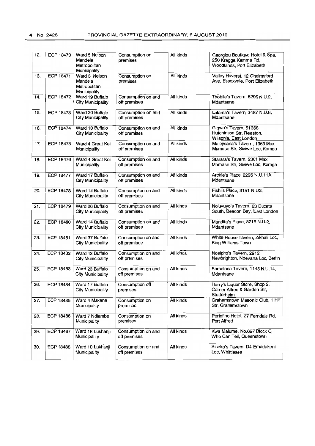| 12. | <b>ECP 18470</b> | Ward 5 Nelson<br>Mandela<br>Metropolitan<br>Municipality | Consumption on<br>premises         | All kinds | Georgiou Boutique Hotel & Spa,<br>250 Kragga Kamma Rd,<br>Woodlands, Port Elizabeth |
|-----|------------------|----------------------------------------------------------|------------------------------------|-----------|-------------------------------------------------------------------------------------|
| 13. | <b>ECP 18471</b> | Ward 3 Nelson<br>Mandela<br>Metropolitan<br>Municipality | Consumption on<br>premises         | All kinds | Valley Haverst, 12 Chelmsford<br>Ave, Essexvale, Port Elizabeth                     |
| 14. | <b>ECP 18472</b> | Ward 19 Buffalo<br>City Municipality                     | Consumption on and<br>off premises | All kinds | Thobile's Tavern, 6295 N.U.2,<br>Mdantsane                                          |
| 15. | <b>ECP 18473</b> | Ward 20 Buffalo<br><b>City Municipality</b>              | Consumption on and<br>off premises | All kinds | Lulama's Tavern, 3487 N.U.8,<br>Mdantsane                                           |
| 16. | <b>ECP 18474</b> | Ward 13 Buffalo<br>City Municipality                     | Consumption on and<br>off premises | All kinds | Giqwa's Tavern, 51368<br>Hutchinson Str, Reeston,<br>Wilsonia, East London          |
| 17. | <b>ECP 18475</b> | Ward 4 Great Kei<br>Municipality                         | Consumption on and<br>off premises | All kinds | Majoysana's Tavern, 1969 Max<br>Mamase Str, Siviwe Loc, Komga                       |
| 18. | <b>ECP 18476</b> | Ward 4 Great Kei<br>Municipality                         | Consumption on and<br>off premises | All kinds | Starara's Tavern, 2301 Max<br>Mamase Str, Siviwe Loc, Komga                         |
| 19. | <b>ECP 18477</b> | Ward 17 Buffalo<br>City Municipality                     | Consumption on and<br>off premises | All kinds | Archie's Place, 2295 N.U.11A,<br>Mdantsane                                          |
| 20. | <b>ECP 18478</b> | Ward 14 Buffalo<br><b>City Municipality</b>              | Consumption on and<br>off premises | All kinds | Fishi's Place, 3151 N.U2,<br>Mdantsane                                              |
| 21. | <b>ECP 18479</b> | Ward 26 Buffalo<br><b>City Municipality</b>              | Consumption on and<br>off premises | All kinds | Noluvuyo's Tavern, 63 Ducats<br>South, Beacon Bay, East London                      |
| 22. | <b>ECP 18480</b> | Ward 14 Buffalo<br><b>City Municipality</b>              | Consumption on and<br>off premises | All kinds | Mandita's Place, 3216 N.U.2,<br>Mdantsane                                           |
| 23. | <b>ECP 18481</b> | Ward 37 Buffalo<br><b>City Municipality</b>              | Consumption on and<br>off premises | All kinds | White House Tavern, Zikhali Loc,<br>King Williams Town                              |
| 24. | <b>ECP 18482</b> | Ward 43 Buffalo<br><b>City Municipality</b>              | Consumption on and<br>off premises | All kinds | Nosipho's Tavern, 2912<br>Newbrighton, Ndevana Loc, Berlin                          |
| 25. | <b>ECP 18483</b> | Ward 23 Buffalo<br><b>City Municipality</b>              | Consumption on and<br>off premises | All kinds | Barcelona Tavern, 1148 N.U.14,<br>Mdantsane                                         |
| 26. | ECP 18484        | Ward 17 Buffalo<br><b>City Municipality</b>              | Consumption off<br>premises        | All kinds | Harry's Liquor Store, Shop 2,<br>Corner Alfred & Garden Str,<br>Stutterheim         |
| 27. | <b>ECP 18485</b> | Ward 4 Makana<br>Municipality                            | Consumption on<br>premises         | All kinds | Grahamstown Masonic Club, 1 Hill<br>Str, Grahamstown                                |
| 28. | <b>ECP 18486</b> | Ward 7 Ndlambe<br>Municipality                           | Consumption on<br>premises         | All kinds | Portofino Hotel, 27 Ferndale Rd,<br>Port Alfred                                     |
| 29. | <b>ECP 18487</b> | Ward 18 Lukhanji<br>Municipality                         | Consumption on and<br>off premises | All kinds | Kwa Malume, No.697 Block C,<br>Who Can Tell, Queenstown                             |
| 30. | <b>ECP 18488</b> | Ward 10 Lukhanji<br>Municipality                         | Consumption on and<br>off premises | All kinds | Siseko's Tavern, D4 Emadakeni<br>Loc, Whittlesea                                    |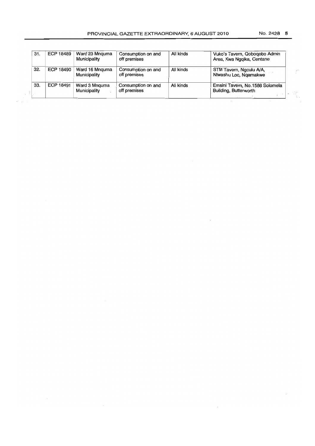| 31. | ECP 18489 | Ward 23 Mnguma<br>Municipality | Consumption on and<br>off premises | All kinds | Vuko's Tavern, Qoboqobo Admin<br>Area, Kwa Ngqika, Centane |
|-----|-----------|--------------------------------|------------------------------------|-----------|------------------------------------------------------------|
| 32. | ECP 18490 | Ward 16 Mnguma<br>Municipality | Consumption on and<br>off premises | All kinds | STM Tavern, Ngculu A/A,<br>Ntwashu Loc, Ngamakwe           |
| 33. | ECP 18491 | Ward 3 Mnguma<br>Municipality  | Consumption on and<br>off premises | All kinds | Emsini Tavern, No.1588 Solomela<br>Building, Butterworth   |

ise<br>De